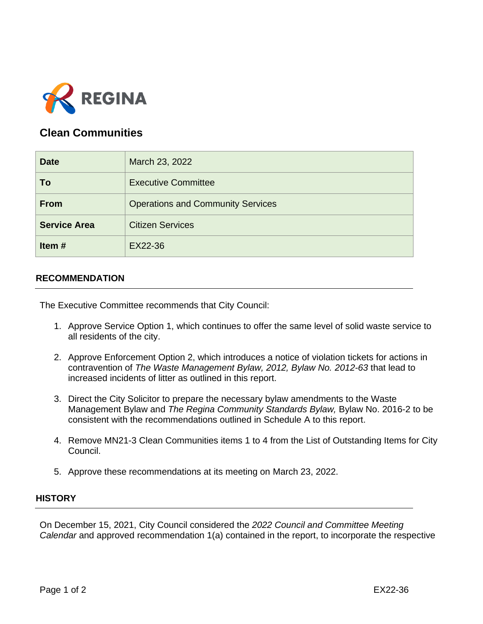

## **Clean Communities**

| <b>Date</b>         | March 23, 2022                           |
|---------------------|------------------------------------------|
| To                  | <b>Executive Committee</b>               |
| <b>From</b>         | <b>Operations and Community Services</b> |
| <b>Service Area</b> | <b>Citizen Services</b>                  |
| Item#               | EX22-36                                  |

## **RECOMMENDATION**

The Executive Committee recommends that City Council:

- 1. Approve Service Option 1, which continues to offer the same level of solid waste service to all residents of the city.
- 2. Approve Enforcement Option 2, which introduces a notice of violation tickets for actions in contravention of *The Waste Management Bylaw, 2012, Bylaw No. 2012-63* that lead to increased incidents of litter as outlined in this report.
- 3. Direct the City Solicitor to prepare the necessary bylaw amendments to the Waste Management Bylaw and *The Regina Community Standards Bylaw,* Bylaw No. 2016-2 to be consistent with the recommendations outlined in Schedule A to this report.
- 4. Remove MN21-3 Clean Communities items 1 to 4 from the List of Outstanding Items for City Council.
- 5. Approve these recommendations at its meeting on March 23, 2022.

## **HISTORY**

On December 15, 2021, City Council considered the *2022 Council and Committee Meeting Calendar* and approved recommendation 1(a) contained in the report, to incorporate the respective